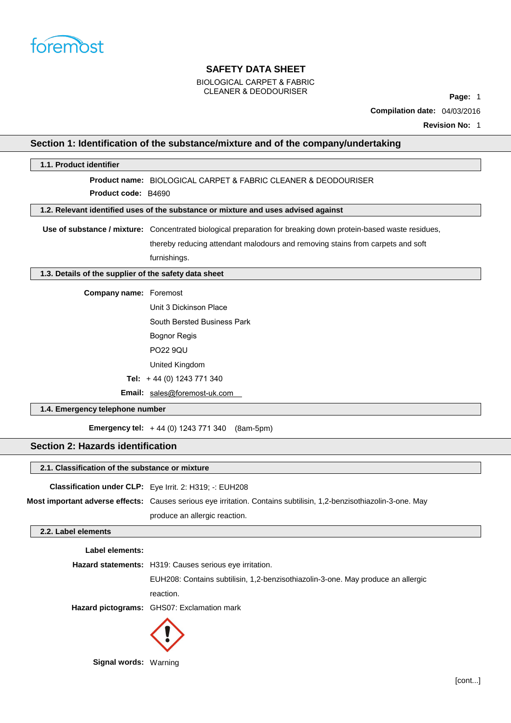

# BIOLOGICAL CARPET & FABRIC CLEANER & DEODOURISER **Page:** <sup>1</sup>

**Compilation date:** 04/03/2016

**Revision No:** 1

# **Section 1: Identification of the substance/mixture and of the company/undertaking**

| 1.1. Product identifier                               |                                                                                                                     |
|-------------------------------------------------------|---------------------------------------------------------------------------------------------------------------------|
|                                                       | <b>Product name: BIOLOGICAL CARPET &amp; FABRIC CLEANER &amp; DEODOURISER</b>                                       |
| Product code: B4690                                   |                                                                                                                     |
|                                                       | 1.2. Relevant identified uses of the substance or mixture and uses advised against                                  |
|                                                       |                                                                                                                     |
|                                                       | Use of substance / mixture: Concentrated biological preparation for breaking down protein-based waste residues,     |
|                                                       | thereby reducing attendant malodours and removing stains from carpets and soft                                      |
|                                                       | furnishings.                                                                                                        |
| 1.3. Details of the supplier of the safety data sheet |                                                                                                                     |
| <b>Company name: Foremost</b>                         |                                                                                                                     |
|                                                       | Unit 3 Dickinson Place                                                                                              |
|                                                       | South Bersted Business Park                                                                                         |
|                                                       | <b>Bognor Regis</b>                                                                                                 |
|                                                       | <b>PO22 9QU</b>                                                                                                     |
|                                                       | United Kingdom                                                                                                      |
|                                                       | Tel: $+44$ (0) 1243 771 340                                                                                         |
|                                                       | Email: sales@foremost-uk.com                                                                                        |
|                                                       |                                                                                                                     |
| 1.4. Emergency telephone number                       |                                                                                                                     |
|                                                       | <b>Emergency tel:</b> $+44$ (0) 1243 771 340 (8am-5pm)                                                              |
| <b>Section 2: Hazards identification</b>              |                                                                                                                     |
| 2.1. Classification of the substance or mixture       |                                                                                                                     |
|                                                       | Classification under CLP: Eye Irrit. 2: H319; -: EUH208                                                             |
|                                                       | Most important adverse effects: Causes serious eye irritation. Contains subtilisin, 1,2-benzisothiazolin-3-one. May |
|                                                       | produce an allergic reaction.                                                                                       |
| 2.2. Label elements                                   |                                                                                                                     |
|                                                       |                                                                                                                     |
| Label elements:                                       |                                                                                                                     |
|                                                       | Hazard statements: H319: Causes serious eye irritation.                                                             |
|                                                       | EUH208: Contains subtilisin, 1,2-benzisothiazolin-3-one. May produce an allergic                                    |
|                                                       | reaction.                                                                                                           |
|                                                       | Hazard pictograms: GHS07: Exclamation mark                                                                          |
|                                                       |                                                                                                                     |
| Signal words: Warning                                 |                                                                                                                     |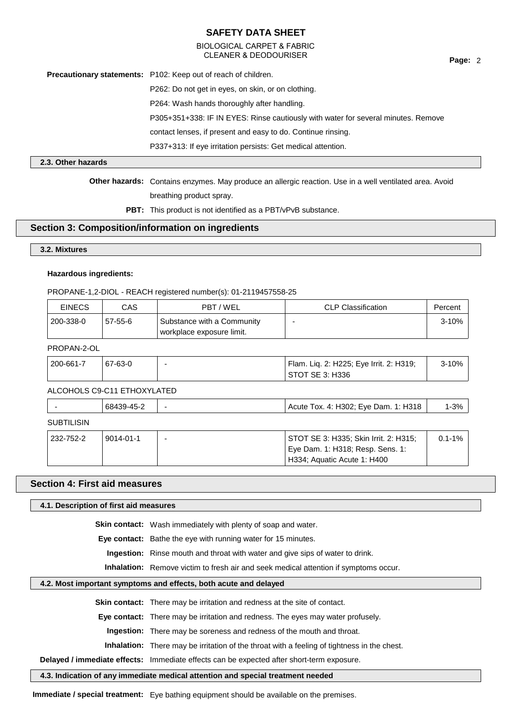# BIOLOGICAL CARPET & FABRIC CLEANER & DEODOURISER **Page:** <sup>2</sup>

**Precautionary statements:** P102: Keep out of reach of children.

P262: Do not get in eyes, on skin, or on clothing.

P264: Wash hands thoroughly after handling.

P305+351+338: IF IN EYES: Rinse cautiously with water for several minutes. Remove

contact lenses, if present and easy to do. Continue rinsing.

P337+313: If eye irritation persists: Get medical attention.

### **2.3. Other hazards**

**Other hazards:** Contains enzymes. May produce an allergic reaction. Use in a well ventilated area. Avoid breathing product spray.

PBT: This product is not identified as a PBT/vPvB substance.

# **Section 3: Composition/information on ingredients**

### **3.2. Mixtures**

#### **Hazardous ingredients:**

PROPANE-1,2-DIOL - REACH registered number(s): 01-2119457558-25

| <b>EINECS</b> | CAS     | PBT/WEL                                                 | <b>CLP Classification</b> | Percent |
|---------------|---------|---------------------------------------------------------|---------------------------|---------|
| 200-338-0     | 57-55-6 | Substance with a Community<br>workplace exposure limit. |                           | 3-10%   |

## PROPAN-2-OL

| Flam. Liq. 2: H225; Eye Irrit. 2: H319;<br>200-661-7<br>67-63-0<br>  STOT SE 3: H336 |  |  |  |  |  | 3-10% |
|--------------------------------------------------------------------------------------|--|--|--|--|--|-------|
|--------------------------------------------------------------------------------------|--|--|--|--|--|-------|

# ALCOHOLS C9-C11 ETHOXYLATED

| -          | 68439-45-2 | 1: H318<br>Tox. 4: H302; Eye Dam.<br>Acute | $1 - 3%$ |
|------------|------------|--------------------------------------------|----------|
| . <u>.</u> |            |                                            |          |

### **SUBTILISIN**

| 232-752-2 | $9014 - 01 - 1$ | STOT SE 3: H335; Skin Irrit. 2: H315;<br>Eye Dam. 1: H318; Resp. Sens. 1: | 0.1-1% |
|-----------|-----------------|---------------------------------------------------------------------------|--------|
|           |                 | H334; Aquatic Acute 1: H400                                               |        |

## **Section 4: First aid measures**

#### **4.1. Description of first aid measures**

**Skin contact:** Wash immediately with plenty of soap and water.

**Eye contact:** Bathe the eye with running water for 15 minutes.

**Ingestion:** Rinse mouth and throat with water and give sips of water to drink.

**Inhalation:** Remove victim to fresh air and seek medical attention if symptoms occur.

#### **4.2. Most important symptoms and effects, both acute and delayed**

**Skin contact:** There may be irritation and redness at the site of contact.

**Eye contact:** There may be irritation and redness. The eyes may water profusely.

**Ingestion:** There may be soreness and redness of the mouth and throat.

**Inhalation:** There may be irritation of the throat with a feeling of tightness in the chest.

**Delayed / immediate effects:** Immediate effects can be expected after short-term exposure.

#### **4.3. Indication of any immediate medical attention and special treatment needed**

**Immediate / special treatment:** Eye bathing equipment should be available on the premises.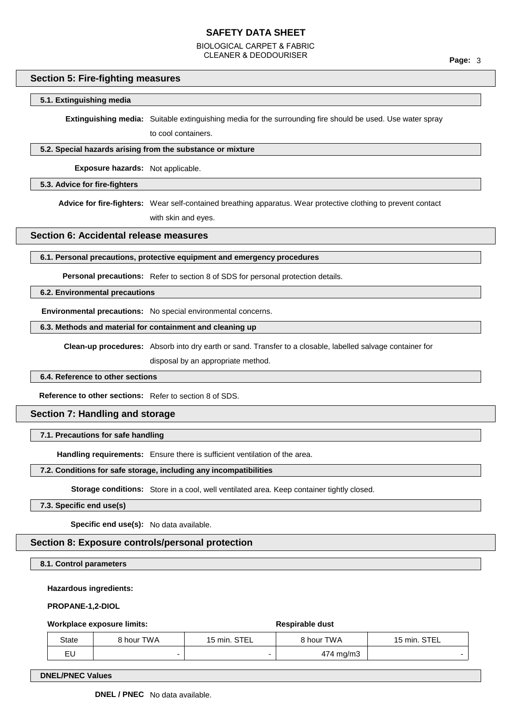BIOLOGICAL CARPET & FABRIC CLEANER & DEODOURISER **Page:** <sup>3</sup>

# **Section 5: Fire-fighting measures**

### **5.1. Extinguishing media**

**Extinguishing media:** Suitable extinguishing media for the surrounding fire should be used. Use water spray

to cool containers.

### **5.2. Special hazards arising from the substance or mixture**

**Exposure hazards:** Not applicable.

#### **5.3. Advice for fire-fighters**

**Advice for fire-fighters:** Wear self-contained breathing apparatus. Wear protective clothing to prevent contact

with skin and eyes.

# **Section 6: Accidental release measures**

#### **6.1. Personal precautions, protective equipment and emergency procedures**

**Personal precautions:** Refer to section 8 of SDS for personal protection details.

## **6.2. Environmental precautions**

**Environmental precautions:** No special environmental concerns.

#### **6.3. Methods and material for containment and cleaning up**

**Clean-up procedures:** Absorb into dry earth or sand. Transfer to a closable, labelled salvage container for

disposal by an appropriate method.

## **6.4. Reference to other sections**

**Reference to other sections:** Refer to section 8 of SDS.

### **Section 7: Handling and storage**

### **7.1. Precautions for safe handling**

**Handling requirements:** Ensure there is sufficient ventilation of the area.

### **7.2. Conditions for safe storage, including any incompatibilities**

Storage conditions: Store in a cool, well ventilated area. Keep container tightly closed.

## **7.3. Specific end use(s)**

**Specific end use(s):** No data available.

# **Section 8: Exposure controls/personal protection**

### **8.1. Control parameters**

#### **Hazardous ingredients:**

**PROPANE-1,2-DIOL**

#### **Workplace exposure limits: Respirable dust**

| State | <b>8 hour TWA</b> | 15 min. STEL | 8 hour TWA | 15 min. STEL |
|-------|-------------------|--------------|------------|--------------|
| EU    |                   |              | 474 mg/m3  |              |

**DNEL/PNEC Values**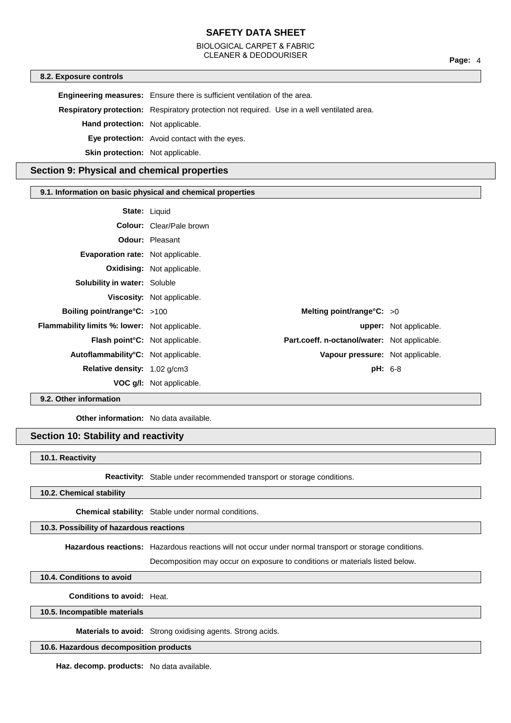# BIOLOGICAL CARPET & FABRIC CLEANER & DEODOURISER **Page:** <sup>4</sup>

#### **8.2. Exposure controls**

**Engineering measures:** Ensure there is sufficient ventilation of the area.

**Respiratory protection:** Respiratory protection not required. Use in a well ventilated area.

**Hand protection:** Not applicable.

**Eye protection:** Avoid contact with the eyes.

**Skin protection:** Not applicable.

# **Section 9: Physical and chemical properties**

## **9.1. Information on basic physical and chemical properties**

| <b>State: Liquid</b>                                 |                                   |                                              |                               |
|------------------------------------------------------|-----------------------------------|----------------------------------------------|-------------------------------|
|                                                      | <b>Colour:</b> Clear/Pale brown   |                                              |                               |
|                                                      | <b>Odour: Pleasant</b>            |                                              |                               |
| Evaporation rate: Not applicable.                    |                                   |                                              |                               |
|                                                      | <b>Oxidising: Not applicable.</b> |                                              |                               |
| <b>Solubility in water: Soluble</b>                  |                                   |                                              |                               |
|                                                      | Viscosity: Not applicable.        |                                              |                               |
| Boiling point/range $C: >100$                        |                                   | Melting point/range°C: $>0$                  |                               |
| <b>Flammability limits %: lower:</b> Not applicable. |                                   |                                              | <b>upper:</b> Not applicable. |
| Flash point°C: Not applicable.                       |                                   | Part.coeff. n-octanol/water: Not applicable. |                               |
| Autoflammability°C: Not applicable.                  |                                   | Vapour pressure: Not applicable.             |                               |
| Relative density: 1.02 g/cm3                         |                                   | $pH: 6-8$                                    |                               |
|                                                      | <b>VOC g/l:</b> Not applicable.   |                                              |                               |

## **9.2. Other information**

**Other information:** No data available.

# **Section 10: Stability and reactivity**

#### **10.1. Reactivity**

**Reactivity:** Stable under recommended transport or storage conditions.

#### **10.2. Chemical stability**

**Chemical stability:** Stable under normal conditions.

## **10.3. Possibility of hazardous reactions**

**Hazardous reactions:** Hazardous reactions will not occur under normal transport or storage conditions.

Decomposition may occur on exposure to conditions or materials listed below.

# **10.4. Conditions to avoid**

**Conditions to avoid:** Heat.

#### **10.5. Incompatible materials**

**Materials to avoid:** Strong oxidising agents. Strong acids.

## **10.6. Hazardous decomposition products**

**Haz. decomp. products:** No data available.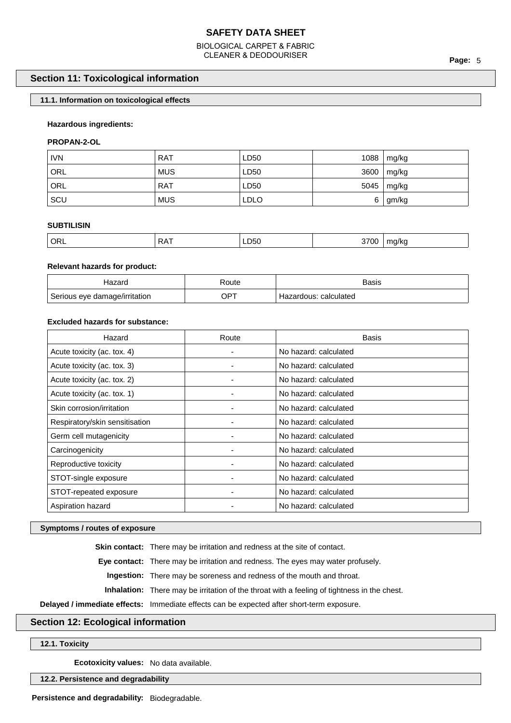# BIOLOGICAL CARPET & FABRIC CLEANER & DEODOURISER **Page:** <sup>5</sup>

# **Section 11: Toxicological information**

# **11.1. Information on toxicological effects**

## **Hazardous ingredients:**

## **PROPAN-2-OL**

| <b>IVN</b> | <b>RAT</b> | LD50        | 1088 | mg/kg           |
|------------|------------|-------------|------|-----------------|
| ' ORL      | <b>MUS</b> | LD50        | 3600 | $\lfloor$ mg/kg |
| ORL        | <b>RAT</b> | LD50        | 5045 | mg/kg           |
| ⊦SCU       | <b>MUS</b> | <b>LDLO</b> | 6    | gm/kg           |

## **SUBTILISIN**

| ່ OR∟ | . | LD50 | 3700 | na/kc<br>$\sim$ |
|-------|---|------|------|-----------------|
|       |   |      |      |                 |

## **Relevant hazards for product:**

| lazard                        | ≺oute  | Basis                 |
|-------------------------------|--------|-----------------------|
| Serious eye damage/irritation | $OP^7$ | Hazardous: calculated |

# **Excluded hazards for substance:**

| Hazard                         | Route | <b>Basis</b>          |
|--------------------------------|-------|-----------------------|
| Acute toxicity (ac. tox. 4)    |       | No hazard: calculated |
| Acute toxicity (ac. tox. 3)    |       | No hazard: calculated |
| Acute toxicity (ac. tox. 2)    |       | No hazard: calculated |
| Acute toxicity (ac. tox. 1)    |       | No hazard: calculated |
| Skin corrosion/irritation      |       | No hazard: calculated |
| Respiratory/skin sensitisation |       | No hazard: calculated |
| Germ cell mutagenicity         |       | No hazard: calculated |
| Carcinogenicity                |       | No hazard: calculated |
| Reproductive toxicity          |       | No hazard: calculated |
| STOT-single exposure           |       | No hazard: calculated |
| STOT-repeated exposure         |       | No hazard: calculated |
| Aspiration hazard              |       | No hazard: calculated |

### **Symptoms / routes of exposure**

**Skin contact:** There may be irritation and redness at the site of contact.

**Eye contact:** There may be irritation and redness. The eyes may water profusely.

**Ingestion:** There may be soreness and redness of the mouth and throat.

**Inhalation:** There may be irritation of the throat with a feeling of tightness in the chest.

**Delayed / immediate effects:** Immediate effects can be expected after short-term exposure.

# **Section 12: Ecological information**

**12.1. Toxicity**

**Ecotoxicity values:** No data available.

**12.2. Persistence and degradability**